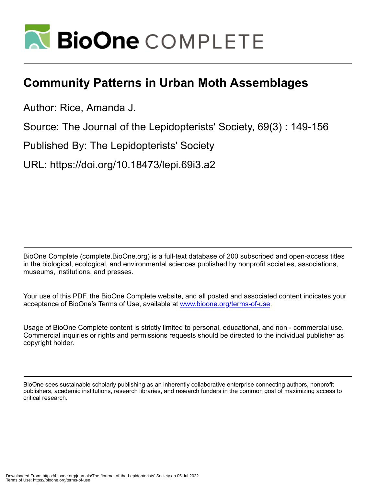

# **Community Patterns in Urban Moth Assemblages**

Author: Rice, Amanda J.

Source: The Journal of the Lepidopterists' Society, 69(3) : 149-156

Published By: The Lepidopterists' Society

URL: https://doi.org/10.18473/lepi.69i3.a2

BioOne Complete (complete.BioOne.org) is a full-text database of 200 subscribed and open-access titles in the biological, ecological, and environmental sciences published by nonprofit societies, associations, museums, institutions, and presses.

Your use of this PDF, the BioOne Complete website, and all posted and associated content indicates your acceptance of BioOne's Terms of Use, available at www.bioone.org/terms-of-use.

Usage of BioOne Complete content is strictly limited to personal, educational, and non - commercial use. Commercial inquiries or rights and permissions requests should be directed to the individual publisher as copyright holder.

BioOne sees sustainable scholarly publishing as an inherently collaborative enterprise connecting authors, nonprofit publishers, academic institutions, research libraries, and research funders in the common goal of maximizing access to critical research.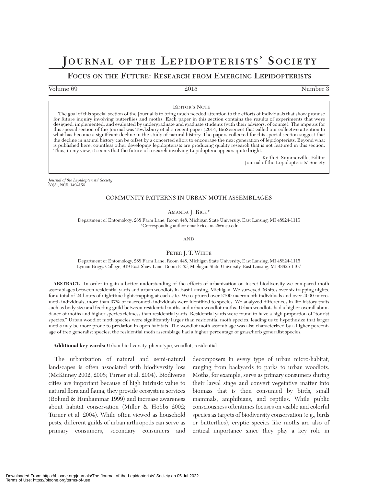## **JOURNAL OF THE LEPIDOPTERISTS' SOCIETY**

## **FOCUS ON THE FUTURE: RESEARCH FROM EMERGING LEPIDOPTERISTS**

Volume 69 Number 3

EDITOR'S NOTE

The goal of this special section of the Journal is to bring much needed attention to the efforts of individuals that show promise for future inquiry involving butterflies and moths. Each paper in this section contains the results of experiments that were designed, implemented, and evaluated by undergraduate and graduate students (with their advisors, of course). The impetus for this special section of the Journal was Tewksbury et al.'s recent paper (2014, BioScience) that called our collective attention to what has become a significant decline in the study of natural history. The papers collected for this special section suggest that the decline in natural history can be offset by a concerted effort to encourage the next generation of lepidopterists. Beyond what is published here, countless other developing lepidopterists are producing quality research that is not featured in this section. Thus, in my view, it seems that the future of research involving Lepidoptera appears quite bright.

> Keith S. Summerville, Editor Journal of the Lepidopterists' Society

*Journal of the Lepidopterists' Society* 69(3), 2015, 149–156

## COMMUNITY PATTERNS IN URBAN MOTH ASSEMBLAGES

AMANDA J. RICE<sup>\*</sup>

Department of Entomology, 288 Farm Lane, Room 448, Michigan State University, East Lansing, MI 48824-1115 \*Corresponding author email: riceama2@msu.edu

AND

PETER J. T. WHITE

Department of Entomology, 288 Farm Lane, Room 448, Michigan State University, East Lansing, MI 48824-1115 Lyman Briggs College, 919 East Shaw Lane, Room E-35, Michigan State University, East Lansing, MI 48825-1107

**ABSTRACT.** In order to gain a better understanding of the effects of urbanization on insect biodiversity we compared moth assemblages between residential yards and urban woodlots in East Lansing, Michigan. We surveyed 36 sites over six trapping nights, for a total of 24 hours of nighttime light-trapping at each site. We captured over 2700 macromoth individuals and over 4000 micromoth individuals; more than 97% of macromoth individuals were identified to species. We analyzed differences in life history traits such as body size and feeding guild between residential moths and urban woodlot moths. Urban woodlots had a higher overall abundance of moths and higher species richness than residential yards. Residential yards were found to have a high proportion of "tourist species." Urban woodlot moth species were significantly larger than residential moth species, leading us to hypothesize that larger moths may be more prone to predation in open habitats. The woodlot moth assemblage was also characterized by a higher percentage of tree generalist species; the residential moth assemblage had a higher percentage of grass/herb generalist species.

**Additional key words:** Urban biodiversity, phenotype, woodlot, residential

The urbanization of natural and semi-natural landscapes is often associated with biodiversity loss (McKinney 2002, 2008; Turner et al. 2004). Biodiverse cities are important because of high intrinsic value to natural flora and fauna; they provide ecosystem services (Bolund & Hunhammar 1999) and increase awareness about habitat conservation (Miller & Hobbs 2002; Turner et al. 2004). While often viewed as household pests, different guilds of urban arthropods can serve as primary consumers, secondary consumers and decomposers in every type of urban micro-habitat, ranging from backyards to parks to urban woodlots. Moths, for example, serve as primary consumers during their larval stage and convert vegetative matter into biomass that is then consumed by birds, small mammals, amphibians, and reptiles. While public consciousness oftentimes focuses on visible and colorful species as targets of biodiversity conservation (e.g., birds or butterflies), cryptic species like moths are also of critical importance since they play a key role in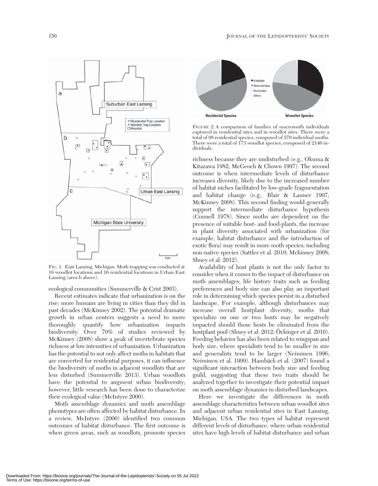**Woodlot Species** 

FIGURE 2 A comparison of families of macromoth individuals captured in residential sites and in woodlot sites. There were a total of 98 residential species, composed of 570 individual moths. There were a total of 173 woodlot species, composed of 2146 individuals.

**Residenial Species** 

**E** Frebidae **E** Geometridae Noctuidae

Othe

richness because they are undisturbed (e.g., Okuma & Kitazawa 1982; McGeoch & Chown 1997). The second outcome is when intermediate levels of disturbance increases diversity, likely due to the increased number of habitat niches facilitated by low-grade fragmentation and habitat change (e.g., Blair & Launer 1997; McKinney 2008). This second finding would generally support the intermediate disturbance hypothesis (Connell 1978). Since moths are dependent on the presence of suitable host- and food-plants, the increase in plant diversity associated with urbanization (for example, habitat disturbance and the introduction of exotic flora) may result in more moth species; including non-native species (Sattler et al. 2010; Mckinney 2008; Shuey et al. 2012).

Availability of host plants is not the only factor to consider when it comes to the impact of disturbance on moth assemblages; life history traits such as feeding preferences and body size can also play an important role in determining which species persist in a disturbed landscape. For example, although disturbances may increase overall hostplant diversity, moths that specialize on one or two hosts may be negatively impacted should those hosts be eliminated from the hostplant pool (Shuey et al. 2012; Öckinger et al. 2010). Feeding behavior has also been related to wingspan and body size, where specialists tend to be smaller in size and generalists tend to be larger (Neiminen 1996; Neiminen et al. 1999). Hambäck et al. (2007) found a significant interaction between body size and feeding guild, suggesting that these two traits should be analyzed together to investigate their potential impact on moth assemblage dynamics in disturbed landscapes.

Here we investigate the differences in moth assemblage characteristics between urban woodlot sites and adjacent urban residential sites in East Lansing, Michigan, USA. The two types of habitat represent different levels of disturbance, where urban residential sites have high levels of habitat disturbance and urban

FIG. 1. East Lansing, Michigan. Moth trapping was conducted at 16 woodlot locations and 16 residential locations in Urban East Lansing (area b above).

ecological communities (Summerville & Crist 2003).

Recent estimates indicate that urbanization is on the rise; more humans are living in cities than they did in past decades (McKinney 2002). The potential dramatic growth in urban centers suggests a need to more thoroughly quantify how urbanization impacts biodiversity. Over 70% of studies reviewed by McKinney (2008) show a peak of invertebrate species richness at low intensities of urbanization. Urbanization has the potential to not only affect moths in habitats that are converted for residential purposes, it can influence the biodiversity of moths in adjacent woodlots that are less disturbed (Summerville 2013). Urban woodlots have the potential to augment urban biodiversity; however, little research has been done to characterize their ecological value (McIntyre 2000).

Moth assemblage dynamics and moth assemblage phenotypes are often affected by habitat disturbance. In a review, McIntyre (2000) identified two common outcomes of habitat disturbance. The first outcome is when green areas, such as woodlots, promote species

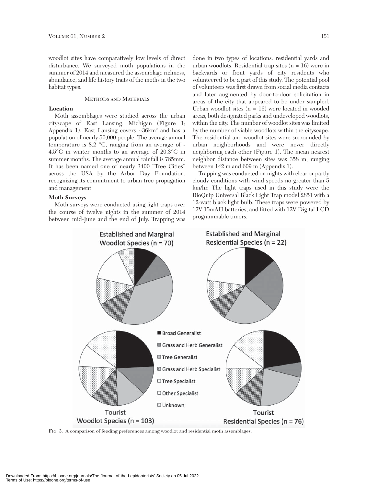woodlot sites have comparatively low levels of direct disturbance. We surveyed moth populations in the summer of 2014 and measured the assemblage richness, abundance, and life history traits of the moths in the two habitat types.

## METHODS AND MATERIALS

## **Location**

Moth assemblages were studied across the urban cityscape of East Lansing, Michigan (Figure 1; Appendix 1). East Lansing covers ~36km<sup>2</sup> and has a population of nearly 50,000 people. The average annual temperature is 8.2 °C, ranging from an average of - 4.5°C in winter months to an average of 20.3°C in summer months. The average annual rainfall is 785mm. It has been named one of nearly 3400 "Tree Cities" across the USA by the Arbor Day Foundation, recognizing its commitment to urban tree propagation and management.

## **Moth Surveys**

Moth surveys were conducted using light traps over the course of twelve nights in the summer of 2014 between mid-June and the end of July. Trapping was

done in two types of locations: residential yards and urban woodlots. Residential trap sites (n = 16) were in backyards or front yards of city residents who volunteered to be a part of this study. The potential pool of volunteers was first drawn from social media contacts and later augmented by door-to-door solicitation in areas of the city that appeared to be under sampled. Urban woodlot sites (n = 16) were located in wooded areas, both designated parks and undeveloped woodlots, within the city. The number of woodlot sites was limited by the number of viable woodlots within the cityscape. The residential and woodlot sites were surrounded by urban neighborhoods and were never directly neighboring each other (Figure 1). The mean nearest neighbor distance between sites was 358 m, ranging between 142 m and 609 m (Appendix 1).

Trapping was conducted on nights with clear or partly cloudy conditions with wind speeds no greater than 5 km/hr. The light traps used in this study were the BioQuip Universal Black Light Trap model 2851 with a 12-watt black light bulb. These traps were powered by 12V 15mAH batteries, and fitted with 12V Digital LCD programmable timers.



FIG. 3. A comparison of feeding preferences among woodlot and residential moth assemblages.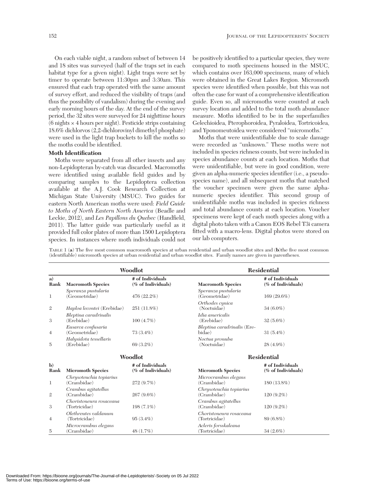On each viable night, a random subset of between 14 and 18 sites was surveyed (half of the traps set in each habitat type for a given night). Light traps were set by timer to operate between 11:30pm and 3:30am. This ensured that each trap operated with the same amount of survey effort, and reduced the visibility of traps (and thus the possibility of vandalism) during the evening and early morning hours of the day. At the end of the survey period, the 32 sites were surveyed for 24 nighttime hours  $(6 \text{ nights} \times 4 \text{ hours per night})$ . Pesticide strips containing 18.6% dichlorvos (2,2-dichlorovinyl dimethyl phosphate) were used in the light trap buckets to kill the moths so the moths could be identified.

#### **Moth Identification**

Moths were separated from all other insects and any non-Lepidopteran by-catch was discarded. Macromoths were identified using available field guides and by comparing samples to the Lepidoptera collection available at the A.J. Cook Research Collection at Michigan State University (MSUC). Two guides for eastern North American moths were used: *Field Guide to Moths of North Eastern North America* (Beadle and Leckie, 2012), and *Les Papillons du Quebec* (Handfield, 2011). The latter guide was particularly useful as it provided full color plates of more than 1500 Lepidoptera species. In instances where moth individuals could not

be positively identified to a particular species, they were compared to moth specimens housed in the MSUC, which contains over 163,000 specimens, many of which were obtained in the Great Lakes Region. Micromoth species were identified when possible, but this was not often the case for want of a comprehensive identification guide. Even so, all micromoths were counted at each survey location and added to the total moth abundance measure. Moths identified to be in the superfamilies Gelechioidea, Pterophoroidea, Pyraloidea, Tortricoidea, and Yponomeutoidea were considered "micromoths."

Moths that were unidentifiable due to scale damage were recorded as "unknown." These moths were not included in species richness counts, but were included in species abundance counts at each location. Moths that were unidentifiable, but were in good condition, were given an alpha-numeric species identifier (i.e., a pseudospecies name), and all subsequent moths that matched the voucher specimen were given the same alphanumeric species identifier. This second group of unidentifiable moths was included in species richness and total abundance counts at each location. Voucher specimens were kept of each moth species along with a digital photo taken with a Canon EOS Rebel T3i camera fitted with a macro-lens. Digital photos were stored on our lab computers.

TABLE 1 (**a**) The five most common macromoth species at urban residential and urban woodlot sites and (**b**)the five most common (identifiable) micromoth species at urban residential and urban woodlot sites. Family names are given in parentheses.

|                      | Woodlot                                  |                                        |                                          | <b>Residential</b>                     |  |
|----------------------|------------------------------------------|----------------------------------------|------------------------------------------|----------------------------------------|--|
| a)<br>Rank           | <b>Macromoth Species</b>                 | # of Individuals<br>(% of Individuals) | <b>Macromoth Species</b>                 | # of Individuals<br>(% of Individuals) |  |
| 1                    | Speranza pustularia<br>(Geometridae)     | 476 (22.2%)                            | Speranza pustularia<br>(Geometridae)     | 169 (29.6%)                            |  |
| 2                    | Haploa lecontei (Erebidae)               | 251 (11.8%)                            | Orthodes cynica<br>(Noctuidae)           | $34(6.0\%)$                            |  |
| 3                    | Bleptina caradrinalis<br>(Erebidae)      | $100(4.7\%)$                           | Idia americalis<br>(Erebidae)            | $32(5.6\%)$                            |  |
| $\overline{4}$       | Eusarca confusaria<br>(Geometridae)      | 73 (3.4%)                              | Bleptina caradrinalis (Ere-<br>bidae)    | $31(5.4\%)$                            |  |
| 5                    | Halysidota tessellaris<br>(Erebidae)     | 69 (3.2%)                              | Noctua pronuba<br>(Noctuidae)            | $28(4.9\%)$                            |  |
|                      | Woodlot                                  |                                        | <b>Residential</b>                       |                                        |  |
| $\mathbf{b}$<br>Rank | <b>Micromoth Species</b>                 | # of Individuals<br>(% of Individuals) | <b>Micromoth Species</b>                 | # of Individuals<br>(% of Individuals) |  |
| 1                    | Chrysoteuchia topiarius<br>(Crambidae)   | 272 (9.7%)                             | Microcrambus elegans<br>(Crambidae)      | 180 (13.8%)                            |  |
| $\mathfrak{2}$       | Crambus agitatellus<br>(Crambidae)       | $267(9.6\%)$                           | Chrysoteuchia topiarius<br>(Crambidae)   | $120(9.2\%)$                           |  |
| 3                    | Choristoneura rosaceana<br>(Tortricidae) | $198(7.1\%)$                           | Crambus agitatellus<br>(Crambidae)       | $120(9.2\%)$                           |  |
| 4                    | Olethreutes valdanum<br>(Tortricidae)    | $95(3.4\%)$                            | Choristoneura rosaceana<br>(Tortricidae) | 89 (6.8%)                              |  |
| 5                    | Microcrambus elegans<br>(Crambidae)      | 48 (1.7%)                              | Acleris forsskaleana<br>(Tortricidae)    | $34(2.6\%)$                            |  |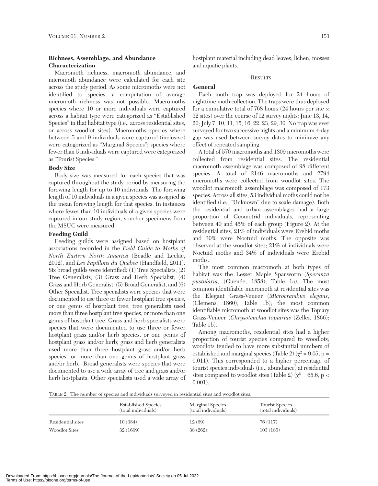## **Richness, Assemblage, and Abundance Characterization**

Macromoth richness, macromoth abundance, and micromoth abundance were calculated for each site across the study period. As some micromoths were not identified to species, a computation of average micromoth richness was not possible. Macromoths species where 10 or more individuals were captured across a habitat type were categorized as "Established Species" in that habitat type (i.e., across residential sites, or across woodlot sites). Macromoths species where between 5 and 9 individuals were captured (inclusive) were categorized as "Marginal Species"; species where fewer than 5 individuals were captured were categorized as "Tourist Species."

#### **Body Size**

Body size was measured for each species that was captured throughout the study period by measuring the forewing length for up to 10 individuals. The forewing length of 10 individuals in a given species was assigned as the mean forewing length for that species. In instances where fewer than 10 individuals of a given species were captured in our study region, voucher specimens from the MSUC were measured.

#### **Feeding Guild**

Feeding guilds were assigned based on hostplant associations recorded in the *Field Guide to Moths of North Eastern North America* (Beadle and Leckie, 2012), and *Les Papillons du Quebec* (Handfield, 2011). Six broad guilds were identified: (1) Tree Specialists, (2) Tree Generalists, (3) Grass and Herb Specialist, (4) Grass and Herb Generalist, (5) Broad Generalist, and (6) Other Specialist. Tree specialists were species that were documented to use three or fewer hostplant tree species, or one genus of hostplant tree; tree generalists used more than three hostplant tree species, or more than one genus of hostplant tree. Grass and herb specialists were species that were documented to use three or fewer hostplant grass and/or herb species, or one genus of hostplant grass and/or herb; grass and herb generalists used more than three hostplant grass and/or herb species, or more than one genus of hostplant grass and/or herb. Broad generalists were species that were documented to use a wide array of tree and grass and/or herb hostplants. Other specialists used a wide array of hostplant material including dead leaves, lichen, mosses and aquatic plants.

#### **RESULTS**

### **General**

Each moth trap was deployed for 24 hours of nighttime moth collection. The traps were thus deployed for a cumulative total of 768 hours (24 hours per site  $\times$ 32 sites) over the course of 12 survey nights: June 13, 14, 20; July 7, 10, 11, 15, 16, 22, 23, 29, 30. No trap was ever surveyed for two successive nights and a minimum 4-day gap was used between survey dates to minimize any effect of repeated sampling.

A total of 570 macromoths and 1309 micromoths were collected from residential sites. The residential macromoth assemblage was composed of 98 different species. A total of 2146 macromoths and 2794 micromoths were collected from woodlot sites. The woodlot macromoth assemblage was composed of 173 species. Across all sites, 53 individual moths could not be identified (i.e., "Unknown" due to scale damage). Both the residential and urban assemblages had a large proportion of Geometrid individuals, representing between 40 and 45% of each group (Figure 2). At the residential sites, 21% of individuals were Erebid moths and 30% were Noctuid moths. The opposite was observed at the woodlot sites; 21% of individuals were Noctuid moths and 34% of individuals were Erebid moths.

The most common macromoth at both types of habitat was the Lesser Maple Spanworm (*Speranza pustularia*, (Guenée, 1858); Table 1a). The most common identifiable micromoth at residential sites was the Elegant Grass-Veneer (*Microcrambus elegans*, (Clemens, 1860); Table 1b); the most common identifiable micromoth at woodlot sites was the Topiary Grass-Veneer (*Chrysoteuchia topiarius* (Zeller, 1866); Table 1b).

Among macromoths, residential sites had a higher proportion of tourist species compared to woodlots; woodlots tended to have more substantial numbers of established and marginal species (Table 2) ( $\chi^2$  = 9.05, p = 0.011). This corresponded to a higher percentage of tourist species individuals (i.e., abundance) at residential sites compared to woodlot sites (Table 2) ( $\chi^2$  = 65.6, p < 0.001).

TABLE 2. The number of species and individuals surveyed in residential sites and woodlot sites.

|                   | <b>Established Species</b><br>(total individuals) | Marginal Species<br>(total individuals) | <b>Tourist Species</b><br>(total individuals) |
|-------------------|---------------------------------------------------|-----------------------------------------|-----------------------------------------------|
| Residential sites | 10(384)                                           | 12(69)                                  | 76 (117)                                      |
| Woodlot Sites     | 32 (1699)                                         | 38(262)                                 | 103(185)                                      |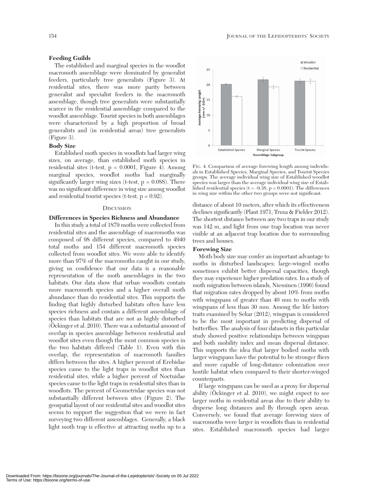## **Feeding Guilds**

The established and marginal species in the woodlot macromoth assemblage were dominated by generalist feeders, particularly tree generalists (Figure 3). At residential sites, there was more parity between generalist and specialist feeders in the macromoth assemblage, though tree generalists were substantially scarcer in the residential assemblage compared to the woodlot assemblage. Tourist species in both assemblages were characterized by a high proportion of broad generalists and (in residential areas) tree generalists (Figure 3).

## **Body Size**

Established moth species in woodlots had larger wing sizes, on average, than established moth species in residential sites (t-test, p < 0.0001, Figure 4). Among marginal species, woodlot moths had marginally significantly larger wing sizes (t-test,  $p = 0.088$ ). There was no significant difference in wing size among woodlot and residential tourist species (t-test,  $p = 0.92$ ).

#### **DISCUSSION**

#### **Differences in Species Richness and Abundance**

In this study a total of 1879 moths were collected from residential sites and the assemblage of macromoths was composed of 98 different species, compared to 4940 total moths and 154 different macromoth species collected from woodlot sites. We were able to identify more than 97% of the macromoths caught in our study, giving us confidence that our data is a reasonable representation of the moth assemblages in the two habitats. Our data show that urban woodlots contain more macromoth species and a higher overall moth abundance than do residential sites. This supports the finding that highly disturbed habitats often have less species richness and contain a different assemblage of species than habitats that are not as highly disturbed (Öckinger et al. 2010). There was a substantial amount of overlap in species assemblage between residential and woodlot sites even though the most common species in the two habitats differed (Table 1). Even with this overlap, the representation of macromoth families differs between the sites. A higher percent of Erebidae species came to the light traps in woodlot sites than residential sites, while a higher percent of Noctuidae species came to the light traps in residential sites than in woodlots. The percent of Geometridae species was not substantially different between sites (Figure 2). The geospatial layout of our residential sites and woodlot sites seems to support the suggestion that we were in fact surveying two different assemblages. Generally, a black light moth trap is effective at attracting moths up to a



FIG. 4. Comparison of average forewing length among individuals in Established Species, Marginal Species, and Tourist Species groups. The average individual wing size of Established woodlot species was larger than the average individual wing size of Established residential species ( $t = -9.38$ ,  $p < 0.0001$ ). The differences in wing size within the other two groups were not significant.

distance of about 10 meters, after which its effectiveness declines significantly (Plaut 1971; Truxa & Fielder 2012). The shortest distance between any two traps in our study was 142 m, and light from one trap location was never visible at an adjacent trap location due to surrounding trees and houses.

#### **Forewing Size**

Moth body size may confer an important advantage to moths in disturbed landscapes; large-winged moths sometimes exhibit better dispersal capacities, though they may experience higher predation rates. In a study of moth migration between islands, Nieminen (1996) found that migration rates dropped by about 10% from moths with wingspans of greater than 40 mm to moths with wingspans of less than 30 mm. Among the life history traits examined by Sekar (2012), wingspan is considered to be the most important in predicting dispersal of butterflies. The analysis of four datasets in this particular study showed positive relationships between wingspan and both mobility index and mean dispersal distance. This supports the idea that larger bodied moths with larger wingspans have the potential to be stronger fliers and more capable of long-distance colonization over hostile habitat when compared to their shorter-winged counterparts.

If large wingspans can be used as a proxy for dispersal ability (Öckinger et al. 2010), we might expect to see larger moths in residential areas due to their ability to disperse long distances and fly through open areas. Conversely, we found that average forewing sizes of macromoths were larger in woodlots than in residential sites. Established macromoth species had larger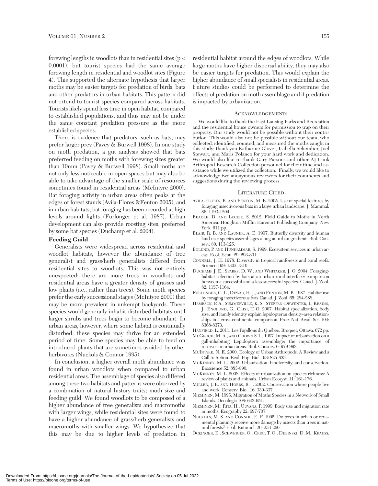forewing lengths in woodlots than in residential sites ( $p <$ 0.0001), but tourist species had the same average forewing length in residential and woodlot sites (Figure 4). This supported the alternate hypothesis that larger moths may be easier targets for predation of birds, bats and other predators in urban habitats. This pattern did not extend to tourist species compared across habitats. Tourists likely spend less time in open habitat, compared to established populations, and thus may not be under the same constant predation pressure as the more established species.

There is evidence that predators, such as bats, may prefer larger prey (Pavey & Burwell 1998). In one study on moth predation, a gut analysis showed that bats preferred feeding on moths with forewing sizes greater than 10mm (Pavey & Burwell 1998). Small moths are not only less noticeable in open spaces but may also be able to take advantage of the smaller scale of resources sometimes found in residential areas (McIntyre 2000). Bat foraging activity in urban areas often peaks at the edges of forest stands (Avila-Flores &Fenton 2005), and in urban habitats, bat foraging has been recorded at high levels around lights (Furlonger et al. 1987). Urban development can also provide roosting sites, preferred by some bat species (Duchamp et al. 2004).

#### **Feeding Guild**

Generalists were widespread across residential and woodlot habitats, however the abundance of tree generalist and grass/herb generalists differed from residential sites to woodlots. This was not entirely unexpected; there are more trees in woodlots and residential areas have a greater density of grasses and low plants (i.e., rather than trees). Some moth species prefer the early successional stages (McIntyre 2000) that may be more prevalent in unkempt backyards. These species would generally inhabit disturbed habitats until larger shrubs and trees begin to become abundant. In urban areas, however, where some habitat is continually disturbed, these species may thrive for an extended period of time. Some species may be able to feed on introduced plants that are sometimes avoided by other herbivores (Nuckols & Connor 1995).

In conclusion, a higher overall moth abundance was found in urban woodlots when compared to urban residential areas. The assemblage of species also differed among these two habitats and patterns were observed by a combination of natural history traits; moth size and feeding guild. We found woodlots to be composed of a higher abundance of tree generalists and macromoths with larger wings, while residential sites were found to have a higher abundance of grass/herb generalists and macromoths with smaller wings. We hypothesize that this may be due to higher levels of predation in

residential habitat around the edges of woodlots. While large moths have higher dispersal ability, they may also be easier targets for predation. This would explain the higher abundance of small specialists in residential areas. Future studies could be performed to determine the effects of predation on moth assemblage and if predation is impacted by urbanization.

#### ACKNOWLEDGEMENTS

We would like to thank the East Lansing Parks and Recreation and the residential house owners for permission to trap on their property. Our study would not be possible without their contribution. This would also not be possible without our team, who collected, identified, counted, and measured the moths caught in this study; thank you Katharine Glover, Isabella Schember, Joel Stewart, and Maris Polanco for your hard work and dedication. We would also like to thank Gary Parsons and other AJ Cook Arthropod Research Collection personnel for their time and assistance while we utilized the collection. Finally, we would like to acknowledge two anonymous reviewers for their comments and suggestions during the reviewing process.

#### LITERATURE CITED

- AVILA-FLORES, R. AND FENTON, M. B. 2005. Use of spatial features by foraging insectivorous bats in a large urban landscape. J. Mammal. 86: 1193-1204.
- BEADLE, D. AND LECKIE, S. 2012. Field Guide to Moths in North America. Houghton Mifflin Harcourt Publishing Company, New York. 611 pp.
- BLAIR, R. B. AND LAUNER, A. E. 1997. Butterfly diversity and human land use: species assemblages along an urban gradient. Biol. Conserv. 80: 113-125.
- BOLUND, P. AND HUNHAMMAR, S. 1999. Ecosystem services in urban areas. Ecol. Econ. 29: 293-301.
- CONNELL, J. H. 1978. Diversity in tropical rainforests and coral reefs. Science 199: 1302-1310.
- DUCHAMP J. E., SPARKS, D. W., AND WHITAKER, J. O. 2004. Foraginghabitat selection by bats at an urban-rural interface: comparison between a successful and a less successful species. Canad. J. Zool. 82: 1157-1164.
- FURLONGER, C. L., DEWAR, H. J., AND FENTON, M. B. 1987. Habitat use by foraging insectivorous bats.Canad. J. Zool. 65: 284-288.
- HAMBÄCK, P. A., SUMMERVILLE, K. S., STEFFAN-DEWENTER, I., KRAUSS, J., ENGLUND, G., CRIST, T. O. 2007. Habitat specialization, body size, and family identity explain lepidopteran density-area relationships in a cross-continental comparison. Proc. Nat. Acad. Sci. 104: 8368-8373.
- HANFIELD, L. 2011. Les Papillons du Québec. Broquet, Ottawa. 672 pp.
- MCGEOCH, M. A., AND CHOWN S. L. 1997. Impact of urbanization on a gall-inhabiting Lepidoptera assemblage: the importance of reserves in urban areas. Biol. Conserv. 6: 979-993.
- MCINTYRE, N. E. 2000. Ecology of Urban Arthropods: A Review and a Call to Action. Ecol. Pop. Biol. 93: 825-835.
- MCKINNEY, M. L. 2002. Urbanization, biodiversity, and conservation. Bioscience 52: 883-890.
- MCKINNEY, M. L. 2008. Effects of urbanization on species richness: A review of plants and animals. Urban Ecosyst. 11: 161-176.
- MILLER, J. R. AND HOBBS, R. J. 2002. Conservation where people live and work. Conserv. Biol. 16: 330-337.
- NIEMINEN, M. 1996. Migration of Moths Species in a Network of Small Islands. Oecologia 108: 643-651.
- NIEMINEN, M., RITA, H., UUVANA, P. 1999. Body size and migration rate in moths. Ecography 22: 697-707.
- NUCKOLS, M. S. AND CONNOR, E. F. 1995. Do trees in urban or ornamental plantings receive more damage by insects than trees in natural forests? Ecol. Entomol. 20: 253-260.
- ÖCKINGER, E., SCHWEIGER, O., CRIST, T. O., DEBINSKI, D. M., KRAUSS,